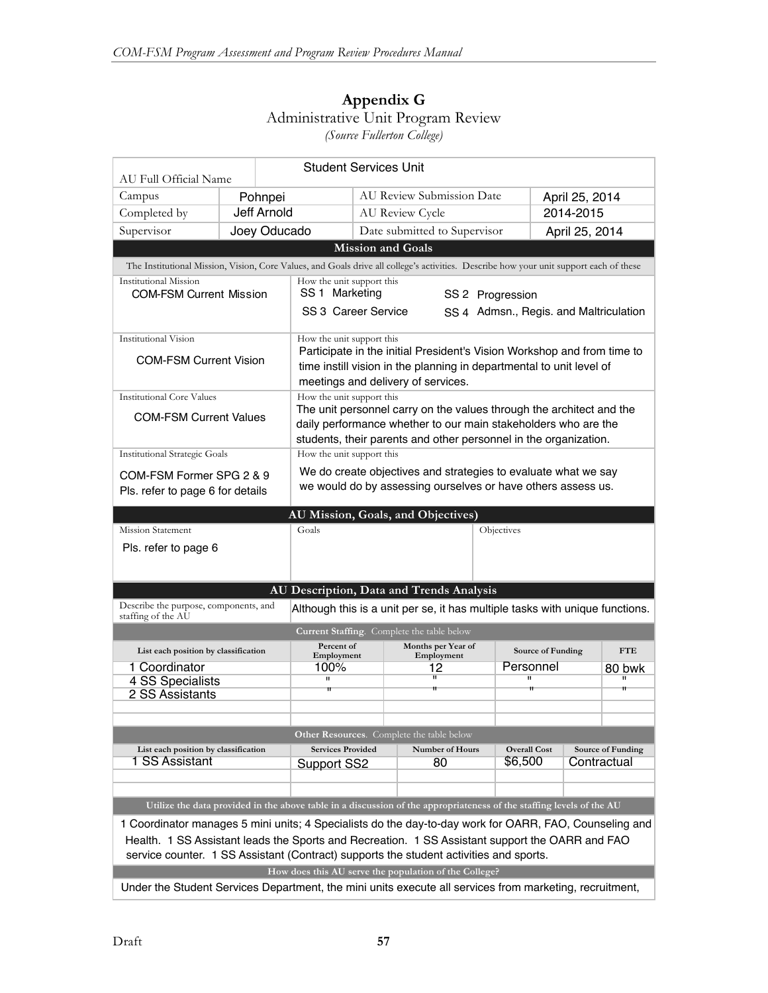# **Appendix G** Administrative Unit Program Review

*(Source Fullerton College)*

| <b>Student Services Unit</b><br>AU Full Official Name                                                                |                                                                                                                                        |                                                               |                                                                                                                                                                                                            |                                                                              |            |                                                                    |                |   |  |  |
|----------------------------------------------------------------------------------------------------------------------|----------------------------------------------------------------------------------------------------------------------------------------|---------------------------------------------------------------|------------------------------------------------------------------------------------------------------------------------------------------------------------------------------------------------------------|------------------------------------------------------------------------------|------------|--------------------------------------------------------------------|----------------|---|--|--|
| Campus                                                                                                               |                                                                                                                                        | Pohnpei                                                       |                                                                                                                                                                                                            | <b>AU Review Submission Date</b>                                             |            |                                                                    | April 25, 2014 |   |  |  |
| Completed by                                                                                                         | <b>Jeff Arnold</b>                                                                                                                     |                                                               | AU Review Cycle                                                                                                                                                                                            |                                                                              |            | 2014-2015                                                          |                |   |  |  |
| Supervisor                                                                                                           |                                                                                                                                        | Joey Oducado                                                  |                                                                                                                                                                                                            | Date submitted to Supervisor                                                 |            | April 25, 2014                                                     |                |   |  |  |
|                                                                                                                      |                                                                                                                                        |                                                               | <b>Mission and Goals</b>                                                                                                                                                                                   |                                                                              |            |                                                                    |                |   |  |  |
|                                                                                                                      | The Institutional Mission, Vision, Core Values, and Goals drive all college's activities. Describe how your unit support each of these |                                                               |                                                                                                                                                                                                            |                                                                              |            |                                                                    |                |   |  |  |
| Institutional Mission<br><b>COM-FSM Current Mission</b>                                                              |                                                                                                                                        |                                                               | How the unit support this<br>SS 1 Marketing<br>SS 2 Progression                                                                                                                                            |                                                                              |            |                                                                    |                |   |  |  |
|                                                                                                                      |                                                                                                                                        | SS 3 Career Service<br>SS 4 Admsn., Regis. and Maltriculation |                                                                                                                                                                                                            |                                                                              |            |                                                                    |                |   |  |  |
| Institutional Vision                                                                                                 |                                                                                                                                        | How the unit support this                                     |                                                                                                                                                                                                            |                                                                              |            |                                                                    |                |   |  |  |
| <b>COM-FSM Current Vision</b>                                                                                        |                                                                                                                                        |                                                               | Participate in the initial President's Vision Workshop and from time to<br>time instill vision in the planning in departmental to unit level of<br>meetings and delivery of services.                      |                                                                              |            |                                                                    |                |   |  |  |
| <b>Institutional Core Values</b>                                                                                     |                                                                                                                                        | How the unit support this                                     |                                                                                                                                                                                                            |                                                                              |            |                                                                    |                |   |  |  |
| <b>COM-FSM Current Values</b>                                                                                        |                                                                                                                                        |                                                               | The unit personnel carry on the values through the architect and the<br>daily performance whether to our main stakeholders who are the<br>students, their parents and other personnel in the organization. |                                                                              |            |                                                                    |                |   |  |  |
| <b>Institutional Strategic Goals</b>                                                                                 |                                                                                                                                        |                                                               | How the unit support this                                                                                                                                                                                  |                                                                              |            |                                                                    |                |   |  |  |
| COM-FSM Former SPG 2 & 9                                                                                             |                                                                                                                                        |                                                               | We do create objectives and strategies to evaluate what we say                                                                                                                                             |                                                                              |            |                                                                    |                |   |  |  |
| Pls. refer to page 6 for details                                                                                     |                                                                                                                                        |                                                               |                                                                                                                                                                                                            | we would do by assessing ourselves or have others assess us.                 |            |                                                                    |                |   |  |  |
| AU Mission, Goals, and Objectives)                                                                                   |                                                                                                                                        |                                                               |                                                                                                                                                                                                            |                                                                              |            |                                                                    |                |   |  |  |
| <b>Mission Statement</b>                                                                                             |                                                                                                                                        | Goals                                                         |                                                                                                                                                                                                            |                                                                              | Objectives |                                                                    |                |   |  |  |
| Pls. refer to page 6                                                                                                 |                                                                                                                                        |                                                               |                                                                                                                                                                                                            |                                                                              |            |                                                                    |                |   |  |  |
|                                                                                                                      |                                                                                                                                        |                                                               |                                                                                                                                                                                                            |                                                                              |            |                                                                    |                |   |  |  |
|                                                                                                                      |                                                                                                                                        | AU Description, Data and Trends Analysis                      |                                                                                                                                                                                                            |                                                                              |            |                                                                    |                |   |  |  |
| Describe the purpose, components, and<br>staffing of the AU                                                          |                                                                                                                                        |                                                               |                                                                                                                                                                                                            | Although this is a unit per se, it has multiple tasks with unique functions. |            |                                                                    |                |   |  |  |
|                                                                                                                      |                                                                                                                                        |                                                               |                                                                                                                                                                                                            | Current Staffing. Complete the table below                                   |            |                                                                    |                |   |  |  |
| List each position by classification                                                                                 |                                                                                                                                        |                                                               | Percent of<br>Months per Year of<br>Source of Funding<br>Employment<br>Employment                                                                                                                          |                                                                              |            |                                                                    | <b>FTE</b>     |   |  |  |
| 1 Coordinator                                                                                                        |                                                                                                                                        | 100%                                                          | Personnel<br>12                                                                                                                                                                                            |                                                                              |            | 80 bwk                                                             |                |   |  |  |
| 4 SS Specialists<br>2 SS Assistants                                                                                  |                                                                                                                                        | $\mathbf H$<br>π                                              |                                                                                                                                                                                                            | π<br>Ħ                                                                       |            | π<br>Ħ                                                             |                | Ħ |  |  |
|                                                                                                                      |                                                                                                                                        |                                                               |                                                                                                                                                                                                            |                                                                              |            |                                                                    |                |   |  |  |
|                                                                                                                      |                                                                                                                                        |                                                               |                                                                                                                                                                                                            |                                                                              |            |                                                                    |                |   |  |  |
| Other Resources. Complete the table below                                                                            |                                                                                                                                        |                                                               |                                                                                                                                                                                                            |                                                                              |            |                                                                    |                |   |  |  |
| List each position by classification<br>1 SS Assistant                                                               |                                                                                                                                        |                                                               | <b>Services Provided</b><br>Number of Hours                                                                                                                                                                |                                                                              |            | <b>Overall Cost</b><br>Source of Funding<br>\$6,500<br>Contractual |                |   |  |  |
|                                                                                                                      |                                                                                                                                        | 80<br>Support SS2                                             |                                                                                                                                                                                                            |                                                                              |            |                                                                    |                |   |  |  |
|                                                                                                                      |                                                                                                                                        |                                                               |                                                                                                                                                                                                            |                                                                              |            |                                                                    |                |   |  |  |
| Utilize the data provided in the above table in a discussion of the appropriateness of the staffing levels of the AU |                                                                                                                                        |                                                               |                                                                                                                                                                                                            |                                                                              |            |                                                                    |                |   |  |  |
| 1 Coordinator manages 5 mini units; 4 Specialists do the day-to-day work for OARR, FAO, Counseling and               |                                                                                                                                        |                                                               |                                                                                                                                                                                                            |                                                                              |            |                                                                    |                |   |  |  |
| Health. 1 SS Assistant leads the Sports and Recreation. 1 SS Assistant support the OARR and FAO                      |                                                                                                                                        |                                                               |                                                                                                                                                                                                            |                                                                              |            |                                                                    |                |   |  |  |
| service counter. 1 SS Assistant (Contract) supports the student activities and sports.                               |                                                                                                                                        |                                                               |                                                                                                                                                                                                            |                                                                              |            |                                                                    |                |   |  |  |
|                                                                                                                      |                                                                                                                                        | How does this AU serve the population of the College?         |                                                                                                                                                                                                            |                                                                              |            |                                                                    |                |   |  |  |
| Under the Student Services Department, the mini units execute all services from marketing, recruitment,              |                                                                                                                                        |                                                               |                                                                                                                                                                                                            |                                                                              |            |                                                                    |                |   |  |  |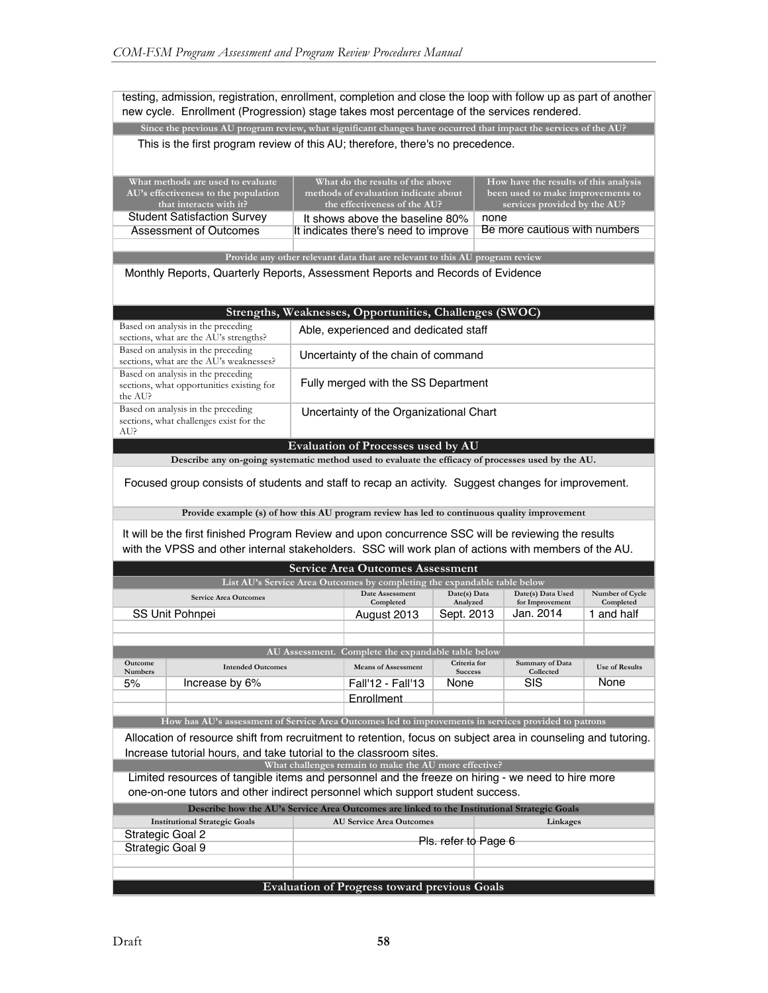testing, admission, registration, enrollment, completion and close the loop with follow up as part of another new cycle. Enrollment (Progression) stage takes most percentage of the services rendered.

**Since the previous AU program review, what significant changes have occurred that impact the services of the AU?**

| What methods are used to evaluate<br>AU's effectiveness to the population | What do the results of the above<br>methods of evaluation indicate about | How have the results of this analysis<br>been used to make improvements to |
|---------------------------------------------------------------------------|--------------------------------------------------------------------------|----------------------------------------------------------------------------|
| that interacts with it?                                                   | the effectiveness of the AU?                                             | services provided by the AU?                                               |
| <b>Student Satisfaction Survey</b>                                        | It shows above the baseline 80%                                          | none                                                                       |
| Assessment of Outcomes                                                    | It indicates there's need to improve                                     | Be more cautious with numbers                                              |
|                                                                           |                                                                          |                                                                            |

**Provide any other relevant data that are relevant to this AU program review**

Monthly Reports, Quarterly Reports, Assessment Reports and Records of Evidence

| Strengths, Weaknesses, Opportunities, Challenges (SWOC)                                    |                                         |  |  |  |  |
|--------------------------------------------------------------------------------------------|-----------------------------------------|--|--|--|--|
| Based on analysis in the preceding<br>sections, what are the AU's strengths?               | Able, experienced and dedicated staff   |  |  |  |  |
| Based on analysis in the preceding<br>sections, what are the AU's weaknesses?              | Uncertainty of the chain of command     |  |  |  |  |
| Based on analysis in the preceding<br>sections, what opportunities existing for<br>the AU? | Fully merged with the SS Department     |  |  |  |  |
| Based on analysis in the preceding<br>sections, what challenges exist for the<br>AU?       | Uncertainty of the Organizational Chart |  |  |  |  |
| <b>Evaluation of Processes used by AU</b>                                                  |                                         |  |  |  |  |

**Describe any on-going systematic method used to evaluate the efficacy of processes used by the AU.**

Focused group consists of students and staff to recap an activity. Suggest changes for improvement.

**Provide example (s) of how this AU program review has led to continuous quality improvement**

It will be the first finished Program Review and upon concurrence SSC will be reviewing the results with the VPSS and other internal stakeholders. SSC will work plan of actions with members of the AU.

| <b>Service Area Outcomes Assessment</b>                                                           |                                                                                                               |  |                                                    |                                |  |                                      |                              |
|---------------------------------------------------------------------------------------------------|---------------------------------------------------------------------------------------------------------------|--|----------------------------------------------------|--------------------------------|--|--------------------------------------|------------------------------|
| List AU's Service Area Outcomes by completing the expandable table below                          |                                                                                                               |  |                                                    |                                |  |                                      |                              |
| <b>Service Area Outcomes</b>                                                                      |                                                                                                               |  | Date Assessment<br>Completed                       | Date(s) Data<br>Analyzed       |  | Date(s) Data Used<br>for Improvement | Number of Cycle<br>Completed |
|                                                                                                   | <b>SS Unit Pohnpei</b>                                                                                        |  | August 2013                                        | Sept. 2013                     |  | Jan. 2014                            | 1 and half                   |
|                                                                                                   |                                                                                                               |  |                                                    |                                |  |                                      |                              |
|                                                                                                   |                                                                                                               |  |                                                    |                                |  |                                      |                              |
|                                                                                                   |                                                                                                               |  | AU Assessment. Complete the expandable table below |                                |  |                                      |                              |
| <b>Outcome</b><br><b>Numbers</b>                                                                  | <b>Intended Outcomes</b>                                                                                      |  | <b>Means of Assessment</b>                         | Criteria for<br><b>Success</b> |  | <b>Summary of Data</b><br>Collected  | <b>Use of Results</b>        |
| 5%                                                                                                | Increase by 6%                                                                                                |  | Fall'12 - Fall'13                                  | None                           |  | <b>SIS</b>                           | None                         |
|                                                                                                   |                                                                                                               |  | Enrollment                                         |                                |  |                                      |                              |
|                                                                                                   |                                                                                                               |  |                                                    |                                |  |                                      |                              |
|                                                                                                   | How has AU's assessment of Service Area Outcomes led to improvements in services provided to patrons          |  |                                                    |                                |  |                                      |                              |
|                                                                                                   | Allocation of resource shift from recruitment to retention, focus on subject area in counseling and tutoring. |  |                                                    |                                |  |                                      |                              |
| Increase tutorial hours, and take tutorial to the classroom sites.                                |                                                                                                               |  |                                                    |                                |  |                                      |                              |
| What challenges remain to make the AU more effective?                                             |                                                                                                               |  |                                                    |                                |  |                                      |                              |
| Limited resources of tangible items and personnel and the freeze on hiring - we need to hire more |                                                                                                               |  |                                                    |                                |  |                                      |                              |
| one-on-one tutors and other indirect personnel which support student success.                     |                                                                                                               |  |                                                    |                                |  |                                      |                              |
| Describe how the AU's Service Area Outcomes are linked to the Institutional Strategic Goals       |                                                                                                               |  |                                                    |                                |  |                                      |                              |
| <b>Institutional Strategic Goals</b><br><b>AU Service Area Outcomes</b><br>Linkages               |                                                                                                               |  |                                                    |                                |  |                                      |                              |
| Strategic Goal 2                                                                                  |                                                                                                               |  | Pls. refer to Page 6                               |                                |  |                                      |                              |
| Strategic Goal 9                                                                                  |                                                                                                               |  |                                                    |                                |  |                                      |                              |
|                                                                                                   |                                                                                                               |  |                                                    |                                |  |                                      |                              |

### **Evaluation of Progress toward previous Goals**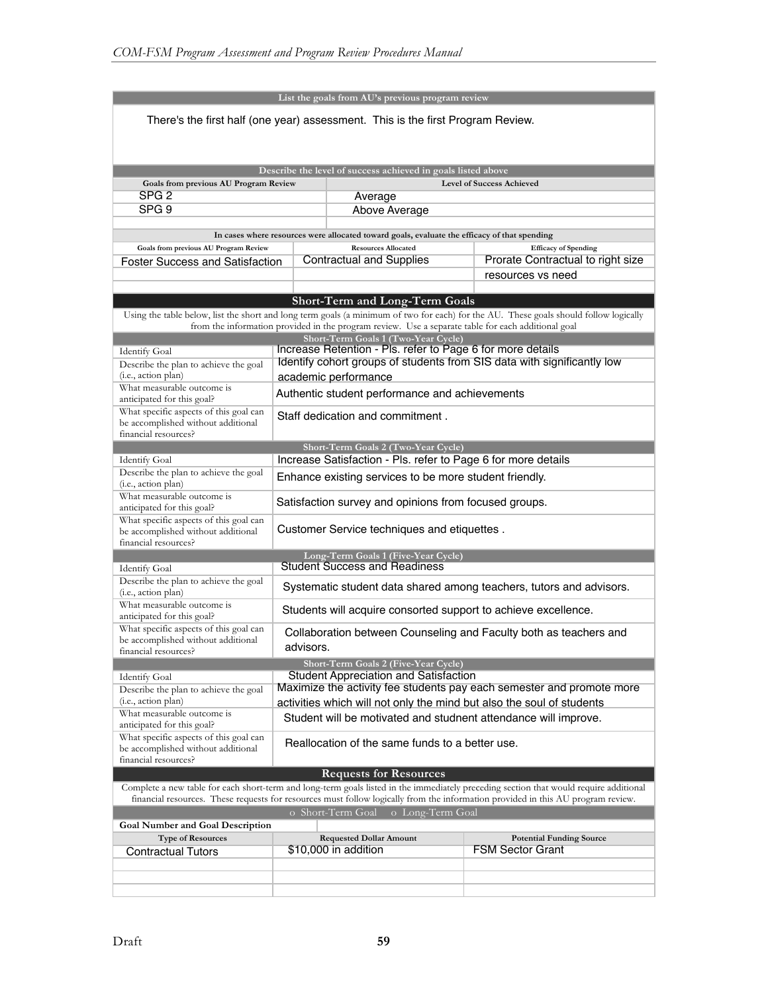|                                                                                                                                                                                                                                                                            |                                                                       | List the goals from AU's previous program review                                                                                  |                                                                                                                                       |  |  |  |  |  |
|----------------------------------------------------------------------------------------------------------------------------------------------------------------------------------------------------------------------------------------------------------------------------|-----------------------------------------------------------------------|-----------------------------------------------------------------------------------------------------------------------------------|---------------------------------------------------------------------------------------------------------------------------------------|--|--|--|--|--|
| There's the first half (one year) assessment. This is the first Program Review.                                                                                                                                                                                            |                                                                       |                                                                                                                                   |                                                                                                                                       |  |  |  |  |  |
|                                                                                                                                                                                                                                                                            |                                                                       |                                                                                                                                   |                                                                                                                                       |  |  |  |  |  |
|                                                                                                                                                                                                                                                                            |                                                                       |                                                                                                                                   |                                                                                                                                       |  |  |  |  |  |
| Describe the level of success achieved in goals listed above<br>Goals from previous AU Program Review<br><b>Level of Success Achieved</b>                                                                                                                                  |                                                                       |                                                                                                                                   |                                                                                                                                       |  |  |  |  |  |
| SPG <sub>2</sub>                                                                                                                                                                                                                                                           |                                                                       | Average                                                                                                                           |                                                                                                                                       |  |  |  |  |  |
| SPG <sub>9</sub><br>Above Average                                                                                                                                                                                                                                          |                                                                       |                                                                                                                                   |                                                                                                                                       |  |  |  |  |  |
|                                                                                                                                                                                                                                                                            |                                                                       |                                                                                                                                   |                                                                                                                                       |  |  |  |  |  |
|                                                                                                                                                                                                                                                                            |                                                                       | In cases where resources were allocated toward goals, evaluate the efficacy of that spending                                      |                                                                                                                                       |  |  |  |  |  |
| Goals from previous AU Program Review<br><b>Foster Success and Satisfaction</b>                                                                                                                                                                                            |                                                                       | <b>Resources Allocated</b><br><b>Efficacy of Spending</b><br>Prorate Contractual to right size<br><b>Contractual and Supplies</b> |                                                                                                                                       |  |  |  |  |  |
|                                                                                                                                                                                                                                                                            |                                                                       |                                                                                                                                   | resources vs need                                                                                                                     |  |  |  |  |  |
|                                                                                                                                                                                                                                                                            |                                                                       |                                                                                                                                   |                                                                                                                                       |  |  |  |  |  |
|                                                                                                                                                                                                                                                                            |                                                                       | <b>Short-Term and Long-Term Goals</b>                                                                                             |                                                                                                                                       |  |  |  |  |  |
|                                                                                                                                                                                                                                                                            |                                                                       | from the information provided in the program review. Use a separate table for each additional goal                                | Using the table below, list the short and long term goals (a minimum of two for each) for the AU. These goals should follow logically |  |  |  |  |  |
|                                                                                                                                                                                                                                                                            |                                                                       | Short-Term Goals 1 (Two-Year Cycle)<br>Increase Retention - Pls. refer to Page 6 for more details                                 |                                                                                                                                       |  |  |  |  |  |
| <b>Identify Goal</b><br>Describe the plan to achieve the goal                                                                                                                                                                                                              |                                                                       |                                                                                                                                   | Identify cohort groups of students from SIS data with significantly low                                                               |  |  |  |  |  |
| (i.e., action plan)                                                                                                                                                                                                                                                        |                                                                       | academic performance                                                                                                              |                                                                                                                                       |  |  |  |  |  |
| What measurable outcome is                                                                                                                                                                                                                                                 |                                                                       | Authentic student performance and achievements                                                                                    |                                                                                                                                       |  |  |  |  |  |
| anticipated for this goal?<br>What specific aspects of this goal can                                                                                                                                                                                                       |                                                                       |                                                                                                                                   |                                                                                                                                       |  |  |  |  |  |
| be accomplished without additional<br>financial resources?                                                                                                                                                                                                                 |                                                                       | Staff dedication and commitment.                                                                                                  |                                                                                                                                       |  |  |  |  |  |
|                                                                                                                                                                                                                                                                            |                                                                       | Short-Term Goals 2 (Two-Year Cycle)                                                                                               |                                                                                                                                       |  |  |  |  |  |
| <b>Identify Goal</b>                                                                                                                                                                                                                                                       |                                                                       | Increase Satisfaction - Pls. refer to Page 6 for more details                                                                     |                                                                                                                                       |  |  |  |  |  |
| Describe the plan to achieve the goal<br>(i.e., action plan)                                                                                                                                                                                                               | Enhance existing services to be more student friendly.                |                                                                                                                                   |                                                                                                                                       |  |  |  |  |  |
| What measurable outcome is<br>anticipated for this goal?                                                                                                                                                                                                                   | Satisfaction survey and opinions from focused groups.                 |                                                                                                                                   |                                                                                                                                       |  |  |  |  |  |
| What specific aspects of this goal can<br>Customer Service techniques and etiquettes.<br>be accomplished without additional<br>financial resources?                                                                                                                        |                                                                       |                                                                                                                                   |                                                                                                                                       |  |  |  |  |  |
| Long-Term Goals 1 (Five-Year Cycle)                                                                                                                                                                                                                                        |                                                                       |                                                                                                                                   |                                                                                                                                       |  |  |  |  |  |
| <b>Student Success and Readiness</b><br><b>Identify Goal</b>                                                                                                                                                                                                               |                                                                       |                                                                                                                                   |                                                                                                                                       |  |  |  |  |  |
| Describe the plan to achieve the goal<br>(i.e., action plan)                                                                                                                                                                                                               | Systematic student data shared among teachers, tutors and advisors.   |                                                                                                                                   |                                                                                                                                       |  |  |  |  |  |
| What measurable outcome is<br>anticipated for this goal?                                                                                                                                                                                                                   | Students will acquire consorted support to achieve excellence.        |                                                                                                                                   |                                                                                                                                       |  |  |  |  |  |
| What specific aspects of this goal can<br>Collaboration between Counseling and Faculty both as teachers and<br>be accomplished without additional<br>advisors.                                                                                                             |                                                                       |                                                                                                                                   |                                                                                                                                       |  |  |  |  |  |
| financial resources?                                                                                                                                                                                                                                                       |                                                                       |                                                                                                                                   |                                                                                                                                       |  |  |  |  |  |
| <b>Identify Goal</b>                                                                                                                                                                                                                                                       |                                                                       | Short-Term Goals 2 (Five-Year Cycle)<br><b>Student Appreciation and Satisfaction</b>                                              |                                                                                                                                       |  |  |  |  |  |
| Describe the plan to achieve the goal                                                                                                                                                                                                                                      |                                                                       |                                                                                                                                   | Maximize the activity fee students pay each semester and promote more                                                                 |  |  |  |  |  |
| (i.e., action plan)                                                                                                                                                                                                                                                        | activities which will not only the mind but also the soul of students |                                                                                                                                   |                                                                                                                                       |  |  |  |  |  |
| What measurable outcome is<br>anticipated for this goal?                                                                                                                                                                                                                   | Student will be motivated and studnent attendance will improve.       |                                                                                                                                   |                                                                                                                                       |  |  |  |  |  |
| What specific aspects of this goal can<br>be accomplished without additional<br>financial resources?                                                                                                                                                                       | Reallocation of the same funds to a better use.                       |                                                                                                                                   |                                                                                                                                       |  |  |  |  |  |
|                                                                                                                                                                                                                                                                            |                                                                       | <b>Requests for Resources</b>                                                                                                     |                                                                                                                                       |  |  |  |  |  |
| Complete a new table for each short-term and long-term goals listed in the immediately preceding section that would require additional<br>financial resources. These requests for resources must follow logically from the information provided in this AU program review. |                                                                       |                                                                                                                                   |                                                                                                                                       |  |  |  |  |  |
| o Short-Term Goal<br>o Long-Term Goal<br><b>Goal Number and Goal Description</b>                                                                                                                                                                                           |                                                                       |                                                                                                                                   |                                                                                                                                       |  |  |  |  |  |
| <b>Type of Resources</b><br><b>Requested Dollar Amount</b><br><b>Potential Funding Source</b>                                                                                                                                                                              |                                                                       |                                                                                                                                   |                                                                                                                                       |  |  |  |  |  |
| <b>Contractual Tutors</b>                                                                                                                                                                                                                                                  | <b>FSM Sector Grant</b><br>\$10,000 in addition                       |                                                                                                                                   |                                                                                                                                       |  |  |  |  |  |
|                                                                                                                                                                                                                                                                            |                                                                       |                                                                                                                                   |                                                                                                                                       |  |  |  |  |  |
|                                                                                                                                                                                                                                                                            |                                                                       |                                                                                                                                   |                                                                                                                                       |  |  |  |  |  |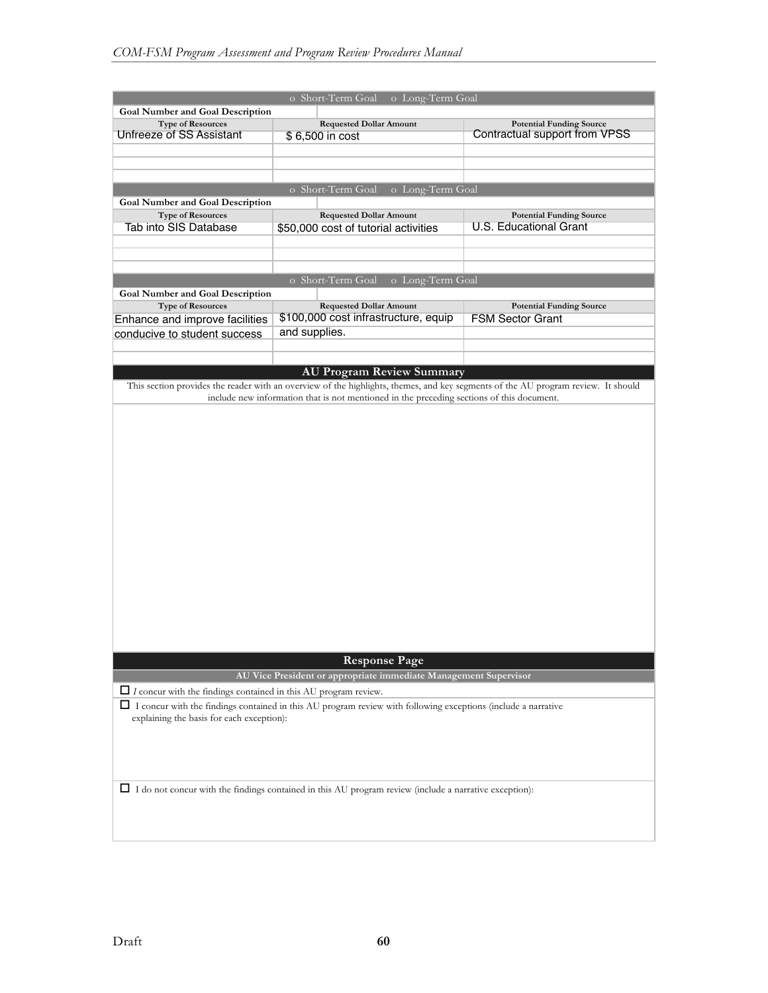|                                                                                                                 | o Short-Term Goal<br>o Long-Term Goal                                                                                             |                                 |  |  |  |  |
|-----------------------------------------------------------------------------------------------------------------|-----------------------------------------------------------------------------------------------------------------------------------|---------------------------------|--|--|--|--|
| <b>Goal Number and Goal Description</b>                                                                         |                                                                                                                                   |                                 |  |  |  |  |
| <b>Type of Resources</b>                                                                                        | <b>Requested Dollar Amount</b>                                                                                                    | <b>Potential Funding Source</b> |  |  |  |  |
| Unfreeze of SS Assistant                                                                                        | \$6,500 in cost                                                                                                                   | Contractual support from VPSS   |  |  |  |  |
|                                                                                                                 |                                                                                                                                   |                                 |  |  |  |  |
|                                                                                                                 |                                                                                                                                   |                                 |  |  |  |  |
|                                                                                                                 |                                                                                                                                   |                                 |  |  |  |  |
|                                                                                                                 | o Short-Term Goal<br>o Long-Term Goal                                                                                             |                                 |  |  |  |  |
| <b>Goal Number and Goal Description</b>                                                                         |                                                                                                                                   |                                 |  |  |  |  |
| <b>Type of Resources</b>                                                                                        | <b>Requested Dollar Amount</b>                                                                                                    | <b>Potential Funding Source</b> |  |  |  |  |
| Tab into SIS Database                                                                                           | \$50,000 cost of tutorial activities                                                                                              | <b>U.S. Educational Grant</b>   |  |  |  |  |
|                                                                                                                 |                                                                                                                                   |                                 |  |  |  |  |
|                                                                                                                 |                                                                                                                                   |                                 |  |  |  |  |
|                                                                                                                 | o Short-Term Goal<br>o Long-Term Goal                                                                                             |                                 |  |  |  |  |
| <b>Goal Number and Goal Description</b>                                                                         |                                                                                                                                   |                                 |  |  |  |  |
| <b>Type of Resources</b>                                                                                        | <b>Requested Dollar Amount</b>                                                                                                    | <b>Potential Funding Source</b> |  |  |  |  |
| Enhance and improve facilities                                                                                  | \$100,000 cost infrastructure, equip                                                                                              | <b>FSM Sector Grant</b>         |  |  |  |  |
| conducive to student success                                                                                    | and supplies.                                                                                                                     |                                 |  |  |  |  |
|                                                                                                                 |                                                                                                                                   |                                 |  |  |  |  |
|                                                                                                                 |                                                                                                                                   |                                 |  |  |  |  |
|                                                                                                                 | <b>AU Program Review Summary</b>                                                                                                  |                                 |  |  |  |  |
|                                                                                                                 | This section provides the reader with an overview of the highlights, themes, and key segments of the AU program review. It should |                                 |  |  |  |  |
|                                                                                                                 | include new information that is not mentioned in the preceding sections of this document.                                         |                                 |  |  |  |  |
|                                                                                                                 |                                                                                                                                   |                                 |  |  |  |  |
|                                                                                                                 |                                                                                                                                   |                                 |  |  |  |  |
|                                                                                                                 |                                                                                                                                   |                                 |  |  |  |  |
|                                                                                                                 |                                                                                                                                   |                                 |  |  |  |  |
|                                                                                                                 |                                                                                                                                   |                                 |  |  |  |  |
|                                                                                                                 |                                                                                                                                   |                                 |  |  |  |  |
|                                                                                                                 |                                                                                                                                   |                                 |  |  |  |  |
|                                                                                                                 |                                                                                                                                   |                                 |  |  |  |  |
|                                                                                                                 |                                                                                                                                   |                                 |  |  |  |  |
|                                                                                                                 |                                                                                                                                   |                                 |  |  |  |  |
|                                                                                                                 |                                                                                                                                   |                                 |  |  |  |  |
|                                                                                                                 |                                                                                                                                   |                                 |  |  |  |  |
|                                                                                                                 |                                                                                                                                   |                                 |  |  |  |  |
|                                                                                                                 |                                                                                                                                   |                                 |  |  |  |  |
|                                                                                                                 |                                                                                                                                   |                                 |  |  |  |  |
|                                                                                                                 |                                                                                                                                   |                                 |  |  |  |  |
|                                                                                                                 |                                                                                                                                   |                                 |  |  |  |  |
|                                                                                                                 |                                                                                                                                   |                                 |  |  |  |  |
|                                                                                                                 | <b>Response Page</b>                                                                                                              |                                 |  |  |  |  |
|                                                                                                                 | AU Vice President or appropriate immediate Management Supervisor                                                                  |                                 |  |  |  |  |
| $\Box$ I concur with the findings contained in this AU program review.                                          |                                                                                                                                   |                                 |  |  |  |  |
| □ I concur with the findings contained in this AU program review with following exceptions (include a narrative |                                                                                                                                   |                                 |  |  |  |  |
| explaining the basis for each exception):                                                                       |                                                                                                                                   |                                 |  |  |  |  |
|                                                                                                                 |                                                                                                                                   |                                 |  |  |  |  |
|                                                                                                                 |                                                                                                                                   |                                 |  |  |  |  |
|                                                                                                                 |                                                                                                                                   |                                 |  |  |  |  |
|                                                                                                                 |                                                                                                                                   |                                 |  |  |  |  |
|                                                                                                                 |                                                                                                                                   |                                 |  |  |  |  |
|                                                                                                                 | □ I do not concur with the findings contained in this AU program review (include a narrative exception):                          |                                 |  |  |  |  |
|                                                                                                                 |                                                                                                                                   |                                 |  |  |  |  |
|                                                                                                                 |                                                                                                                                   |                                 |  |  |  |  |
|                                                                                                                 |                                                                                                                                   |                                 |  |  |  |  |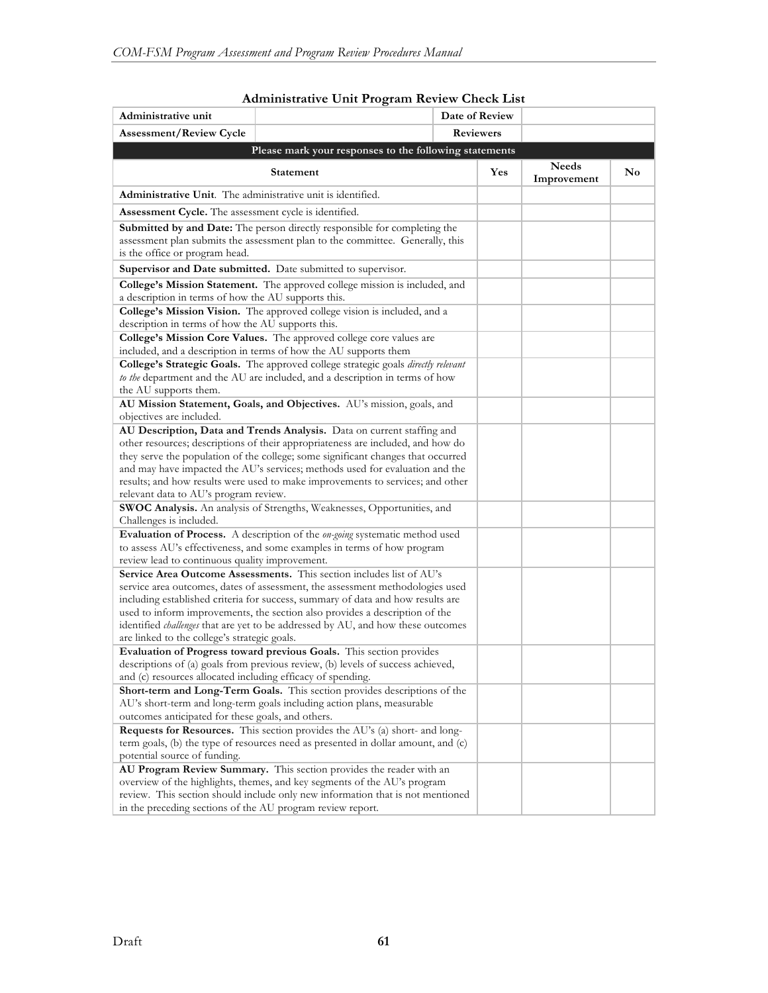| Administrative unit                                                                                                                                                                                                                                                                                                                                                                                                |                                                                                                                                                                   |  | Date of Review |                             |    |
|--------------------------------------------------------------------------------------------------------------------------------------------------------------------------------------------------------------------------------------------------------------------------------------------------------------------------------------------------------------------------------------------------------------------|-------------------------------------------------------------------------------------------------------------------------------------------------------------------|--|----------------|-----------------------------|----|
| <b>Assessment/Review Cycle</b>                                                                                                                                                                                                                                                                                                                                                                                     | <b>Reviewers</b>                                                                                                                                                  |  |                |                             |    |
|                                                                                                                                                                                                                                                                                                                                                                                                                    | Please mark your responses to the following statements                                                                                                            |  |                |                             |    |
|                                                                                                                                                                                                                                                                                                                                                                                                                    | <b>Statement</b>                                                                                                                                                  |  | Yes            | <b>Needs</b><br>Improvement | No |
| <b>Administrative Unit.</b> The administrative unit is identified.                                                                                                                                                                                                                                                                                                                                                 |                                                                                                                                                                   |  |                |                             |    |
| <b>Assessment Cycle.</b> The assessment cycle is identified.                                                                                                                                                                                                                                                                                                                                                       |                                                                                                                                                                   |  |                |                             |    |
| <b>Submitted by and Date:</b> The person directly responsible for completing the<br>assessment plan submits the assessment plan to the committee. Generally, this<br>is the office or program head.                                                                                                                                                                                                                |                                                                                                                                                                   |  |                |                             |    |
|                                                                                                                                                                                                                                                                                                                                                                                                                    | Supervisor and Date submitted. Date submitted to supervisor.                                                                                                      |  |                |                             |    |
| a description in terms of how the AU supports this.                                                                                                                                                                                                                                                                                                                                                                | College's Mission Statement. The approved college mission is included, and                                                                                        |  |                |                             |    |
|                                                                                                                                                                                                                                                                                                                                                                                                                    | College's Mission Vision. The approved college vision is included, and a                                                                                          |  |                |                             |    |
| description in terms of how the AU supports this.                                                                                                                                                                                                                                                                                                                                                                  |                                                                                                                                                                   |  |                |                             |    |
|                                                                                                                                                                                                                                                                                                                                                                                                                    | College's Mission Core Values. The approved college core values are<br>included, and a description in terms of how the AU supports them                           |  |                |                             |    |
| the AU supports them.                                                                                                                                                                                                                                                                                                                                                                                              | College's Strategic Goals. The approved college strategic goals directly relevant<br>to the department and the AU are included, and a description in terms of how |  |                |                             |    |
|                                                                                                                                                                                                                                                                                                                                                                                                                    | AU Mission Statement, Goals, and Objectives. AU's mission, goals, and                                                                                             |  |                |                             |    |
| objectives are included.                                                                                                                                                                                                                                                                                                                                                                                           |                                                                                                                                                                   |  |                |                             |    |
|                                                                                                                                                                                                                                                                                                                                                                                                                    | AU Description, Data and Trends Analysis. Data on current staffing and                                                                                            |  |                |                             |    |
|                                                                                                                                                                                                                                                                                                                                                                                                                    | other resources; descriptions of their appropriateness are included, and how do                                                                                   |  |                |                             |    |
|                                                                                                                                                                                                                                                                                                                                                                                                                    | they serve the population of the college; some significant changes that occurred                                                                                  |  |                |                             |    |
|                                                                                                                                                                                                                                                                                                                                                                                                                    | and may have impacted the AU's services; methods used for evaluation and the                                                                                      |  |                |                             |    |
|                                                                                                                                                                                                                                                                                                                                                                                                                    | results; and how results were used to make improvements to services; and other                                                                                    |  |                |                             |    |
| relevant data to AU's program review.                                                                                                                                                                                                                                                                                                                                                                              |                                                                                                                                                                   |  |                |                             |    |
|                                                                                                                                                                                                                                                                                                                                                                                                                    | SWOC Analysis. An analysis of Strengths, Weaknesses, Opportunities, and                                                                                           |  |                |                             |    |
| Challenges is included.                                                                                                                                                                                                                                                                                                                                                                                            |                                                                                                                                                                   |  |                |                             |    |
|                                                                                                                                                                                                                                                                                                                                                                                                                    | Evaluation of Process. A description of the on-going systematic method used<br>to assess AU's effectiveness, and some examples in terms of how program            |  |                |                             |    |
| review lead to continuous quality improvement.                                                                                                                                                                                                                                                                                                                                                                     |                                                                                                                                                                   |  |                |                             |    |
|                                                                                                                                                                                                                                                                                                                                                                                                                    |                                                                                                                                                                   |  |                |                             |    |
| Service Area Outcome Assessments. This section includes list of AU's<br>service area outcomes, dates of assessment, the assessment methodologies used<br>including established criteria for success, summary of data and how results are<br>used to inform improvements, the section also provides a description of the<br>identified <i>challenges</i> that are yet to be addressed by AU, and how these outcomes |                                                                                                                                                                   |  |                |                             |    |
| are linked to the college's strategic goals.                                                                                                                                                                                                                                                                                                                                                                       |                                                                                                                                                                   |  |                |                             |    |
|                                                                                                                                                                                                                                                                                                                                                                                                                    | Evaluation of Progress toward previous Goals. This section provides                                                                                               |  |                |                             |    |
| descriptions of (a) goals from previous review, (b) levels of success achieved,                                                                                                                                                                                                                                                                                                                                    |                                                                                                                                                                   |  |                |                             |    |
| and (c) resources allocated including efficacy of spending.                                                                                                                                                                                                                                                                                                                                                        |                                                                                                                                                                   |  |                |                             |    |
| Short-term and Long-Term Goals. This section provides descriptions of the                                                                                                                                                                                                                                                                                                                                          |                                                                                                                                                                   |  |                |                             |    |
| AU's short-term and long-term goals including action plans, measurable<br>outcomes anticipated for these goals, and others.                                                                                                                                                                                                                                                                                        |                                                                                                                                                                   |  |                |                             |    |
|                                                                                                                                                                                                                                                                                                                                                                                                                    |                                                                                                                                                                   |  |                |                             |    |
| <b>Requests for Resources.</b> This section provides the AU's (a) short- and long-                                                                                                                                                                                                                                                                                                                                 |                                                                                                                                                                   |  |                |                             |    |
| term goals, (b) the type of resources need as presented in dollar amount, and (c)<br>potential source of funding.                                                                                                                                                                                                                                                                                                  |                                                                                                                                                                   |  |                |                             |    |
|                                                                                                                                                                                                                                                                                                                                                                                                                    |                                                                                                                                                                   |  |                |                             |    |
| AU Program Review Summary. This section provides the reader with an<br>overview of the highlights, themes, and key segments of the AU's program                                                                                                                                                                                                                                                                    |                                                                                                                                                                   |  |                |                             |    |
| review. This section should include only new information that is not mentioned                                                                                                                                                                                                                                                                                                                                     |                                                                                                                                                                   |  |                |                             |    |
| in the preceding sections of the AU program review report.                                                                                                                                                                                                                                                                                                                                                         |                                                                                                                                                                   |  |                |                             |    |

## **Administrative Unit Program Review Check List**